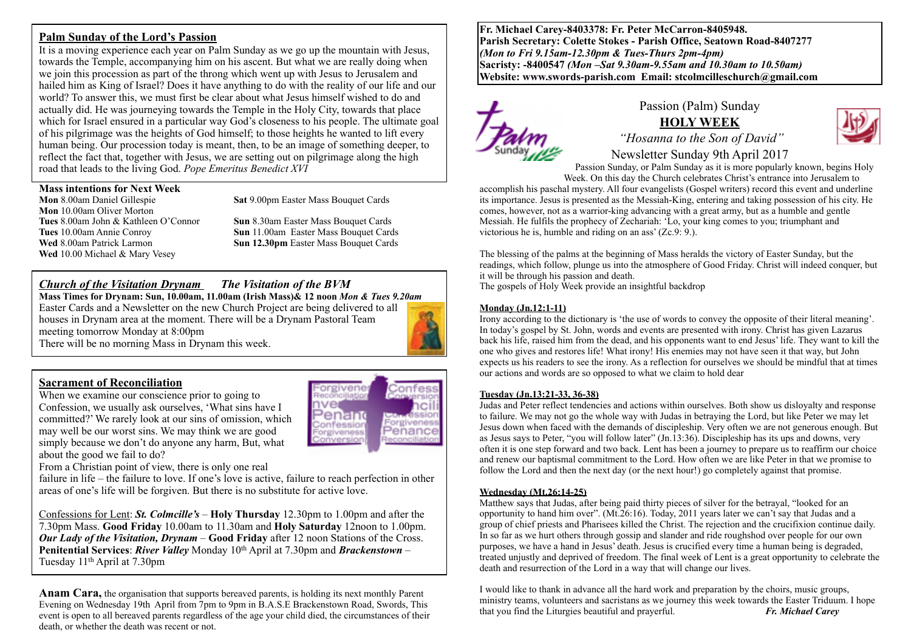### **Palm Sunday of the Lord's Passion**

It is a moving experience each year on Palm Sunday as we go up the mountain with Jesus, towards the Temple, accompanying him on his ascent. But what we are really doing when we join this procession as part of the throng which went up with Jesus to Jerusalem and hailed him as King of Israel? Does it have anything to do with the reality of our life and our world? To answer this, we must first be clear about what Jesus himself wished to do and actually did. He was journeying towards the Temple in the Holy City, towards that place which for Israel ensured in a particular way God's closeness to his people. The ultimate goal of his pilgrimage was the heights of God himself; to those heights he wanted to lift every human being. Our procession today is meant, then, to be an image of something deeper, to reflect the fact that, together with Jesus, we are setting out on pilgrimage along the high road that leads to the living God. *Pope Emeritus Benedict XVI*

## **Mass intentions for Next Week**

**Mon** 8.00am Daniel Gillespie **Sat** 9.00pm Easter Mass Bouquet Cards **Mon** 10.00am Oliver Morton **Tues** 8.00am John & Kathleen O'Connor **Sun** 8.30am Easter Mass Bouquet Cards **Wed** 10.00 Michael & Mary Vesey

**Tues** 10.00am Annie Conroy **Sun** 11.00am Easter Mass Bouquet Cards **Wed 8.00am Patrick Larmon <b>Sun 12.30pm** Easter Mass Bouquet Cards

## *Church of the Visitation Drynam**The Visitation of the BVM*

**Mass Times for Drynam: Sun, 10.00am, 11.00am (Irish Mass)& 12 noon** *Mon & Tues 9.20am* Easter Cards and a Newsletter on the new Church Project are being delivered to all houses in Drynam area at the moment. There will be a Drynam Pastoral Team meeting tomorrow Monday at 8:00pm There will be no morning Mass in Drynam this week.

### **Sacrament of Reconciliation**

When we examine our conscience prior to going to Confession, we usually ask ourselves, 'What sins have I committed?' We rarely look at our sins of omission, which may well be our worst sins. We may think we are good simply because we don't do anyone any harm, But, what about the good we fail to do?



From a Christian point of view, there is only one real

failure in life – the failure to love. If one's love is active, failure to reach perfection in other areas of one's life will be forgiven. But there is no substitute for active love.

Confessions for Lent: *St. Colmcille's* – **Holy Thursday** 12.30pm to 1.00pm and after the 7.30pm Mass. **Good Friday** 10.00am to 11.30am and **Holy Saturday** 12noon to 1.00pm. *Our Lady of the Visitation, Drynam* – **Good Friday** after 12 noon Stations of the Cross. **Penitential Services**: *River Valley* Monday 10th April at 7.30pm and *Brackenstown* – Tuesday 11th April at 7.30pm

**Anam Cara,** the organisation that supports bereaved parents, is holding its next monthly Parent Evening on Wednesday 19th April from 7pm to 9pm in B.A.S.E Brackenstown Road, Swords, This event is open to all bereaved parents regardless of the age your child died, the circumstances of their death, or whether the death was recent or not.

**Fr. Michael Carey-8403378: Fr. Peter McCarron-8405948. Parish Secretary: Colette Stokes - Parish Office, Seatown Road-8407277**  *(Mon to Fri 9.15am-12.30pm & Tues-Thurs 2pm-4pm)*  **Sacristy: -8400547** *(Mon –Sat 9.30am-9.55am and 10.30am to 10.50am)* **Website: [www.swords-parish.com Email:](http://www.swords-parish.com%20%20email) stcolmcilleschurch@gmail.com**



### Passion (Palm) Sunday **HOLY WEEK**



 *"Hosanna to the Son of David"* 

Newsletter Sunday 9th April 2017 Passion Sunday, or Palm Sunday as it is more popularly known, begins Holy Week. On this day the Church celebrates Christ's entrance into Jerusalem to

accomplish his paschal mystery. All four evangelists (Gospel writers) record this event and underline its importance. Jesus is presented as the Messiah-King, entering and taking possession of his city. He comes, however, not as a warrior-king advancing with a great army, but as a humble and gentle Messiah. He fulfils the prophecy of Zechariah: 'Lo, your king comes to you; triumphant and victorious he is, humble and riding on an ass' (Zc.9: 9.).

The blessing of the palms at the beginning of Mass heralds the victory of Easter Sunday, but the readings, which follow, plunge us into the atmosphere of Good Friday. Christ will indeed conquer, but it will be through his passion and death.

The gospels of Holy Week provide an insightful backdrop

#### **Monday (Jn.12:1-11)**

Irony according to the dictionary is 'the use of words to convey the opposite of their literal meaning'. In today's gospel by St. John, words and events are presented with irony. Christ has given Lazarus back his life, raised him from the dead, and his opponents want to end Jesus' life. They want to kill the one who gives and restores life! What irony! His enemies may not have seen it that way, but John expects us his readers to see the irony. As a reflection for ourselves we should be mindful that at times our actions and words are so opposed to what we claim to hold dear

#### **Tuesday (Jn.13:21-33, 36-38)**

Judas and Peter reflect tendencies and actions within ourselves. Both show us disloyalty and response to failure. We may not go the whole way with Judas in betraying the Lord, but like Peter we may let Jesus down when faced with the demands of discipleship. Very often we are not generous enough. But as Jesus says to Peter, "you will follow later" (Jn.13:36). Discipleship has its ups and downs, very often it is one step forward and two back. Lent has been a journey to prepare us to reaffirm our choice and renew our baptismal commitment to the Lord. How often we are like Peter in that we promise to follow the Lord and then the next day (or the next hour!) go completely against that promise.

#### **Wednesday (Mt.26:14-25)**

Matthew says that Judas, after being paid thirty pieces of silver for the betrayal, "looked for an opportunity to hand him over". (Mt.26:16). Today, 2011 years later we can't say that Judas and a group of chief priests and Pharisees killed the Christ. The rejection and the crucifixion continue daily. In so far as we hurt others through gossip and slander and ride roughshod over people for our own purposes, we have a hand in Jesus' death. Jesus is crucified every time a human being is degraded, treated unjustly and deprived of freedom. The final week of Lent is a great opportunity to celebrate the death and resurrection of the Lord in a way that will change our lives.

I would like to thank in advance all the hard work and preparation by the choirs, music groups, ministry teams, volunteers and sacristans as we journey this week towards the Easter Triduum. I hope that you find the Liturgies beautiful and prayerful. *Fr. Michael Carey*